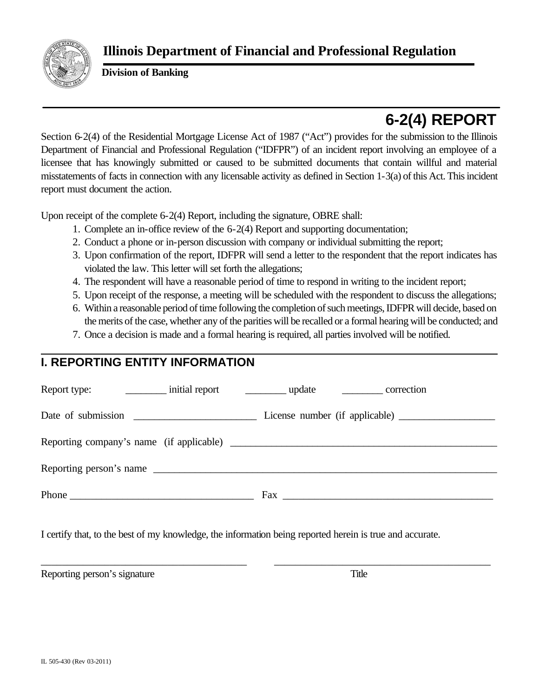

**Division of Banking**

# **6-2(4) REPORT**

Section 6-2(4) of the Residential Mortgage License Act of 1987 ("Act") provides for the submission to the Illinois Department of Financial and Professional Regulation ("IDFPR") of an incident report involving an employee of a licensee that has knowingly submitted or caused to be submitted documents that contain willful and material misstatements of facts in connection with any licensable activity as defined in Section 1-3(a) of this Act. This incident report must document the action.

Upon receipt of the complete 6-2(4) Report, including the signature, OBRE shall:

- 1. Complete an in-office review of the 6-2(4) Report and supporting documentation;
- 2. Conduct a phone or in-person discussion with company or individual submitting the report;
- 3. Upon confirmation of the report, IDFPR will send a letter to the respondent that the report indicates has violated the law. This letter will set forth the allegations;
- 4. The respondent will have a reasonable period of time to respond in writing to the incident report;
- 5. Upon receipt of the response, a meeting will be scheduled with the respondent to discuss the allegations;
- 6. Within a reasonable period of time following the completion of such meetings, IDFPR will decide, based on the merits of the case, whether any of the parities will be recalled or a formal hearing will be conducted; and
- 7. Once a decision is made and a formal hearing is required, all parties involved will be notified.

## **I. REPORTING ENTITY INFORMATION**

| Date of submission                       |              |  |
|------------------------------------------|--------------|--|
| Reporting company's name (if applicable) |              |  |
| Reporting person's name                  |              |  |
|                                          | $\text{Fax}$ |  |
|                                          |              |  |

\_\_\_\_\_\_\_\_\_\_\_\_\_\_\_\_\_\_\_\_\_\_\_\_\_\_\_\_\_\_\_\_\_\_\_\_\_\_\_ \_\_\_\_\_\_\_\_\_\_\_\_\_\_\_\_\_\_\_\_\_\_\_\_\_\_\_\_\_\_\_\_\_\_\_\_\_\_\_\_\_

I certify that, to the best of my knowledge, the information being reported herein is true and accurate.

Reporting person's signature Title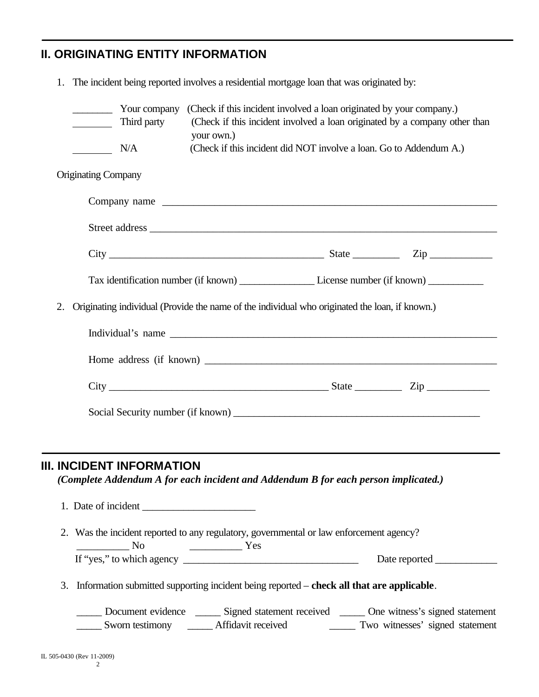### **II. ORIGINATING ENTITY INFORMATION**

|    |                                                      | Your company<br>Third party      | (Check if this incident involved a loan originated by your company.)<br>(Check if this incident involved a loan originated by a company other than                                                                                                                                                                                                                                                                                                                                                              |  |  |
|----|------------------------------------------------------|----------------------------------|-----------------------------------------------------------------------------------------------------------------------------------------------------------------------------------------------------------------------------------------------------------------------------------------------------------------------------------------------------------------------------------------------------------------------------------------------------------------------------------------------------------------|--|--|
|    |                                                      | N/A                              | your own.)<br>(Check if this incident did NOT involve a loan. Go to Addendum A.)                                                                                                                                                                                                                                                                                                                                                                                                                                |  |  |
|    | <b>Originating Company</b>                           |                                  |                                                                                                                                                                                                                                                                                                                                                                                                                                                                                                                 |  |  |
|    |                                                      |                                  |                                                                                                                                                                                                                                                                                                                                                                                                                                                                                                                 |  |  |
|    |                                                      |                                  |                                                                                                                                                                                                                                                                                                                                                                                                                                                                                                                 |  |  |
|    |                                                      |                                  |                                                                                                                                                                                                                                                                                                                                                                                                                                                                                                                 |  |  |
|    |                                                      |                                  |                                                                                                                                                                                                                                                                                                                                                                                                                                                                                                                 |  |  |
| 2. |                                                      |                                  | Originating individual (Provide the name of the individual who originated the loan, if known.)                                                                                                                                                                                                                                                                                                                                                                                                                  |  |  |
|    |                                                      |                                  |                                                                                                                                                                                                                                                                                                                                                                                                                                                                                                                 |  |  |
|    |                                                      |                                  |                                                                                                                                                                                                                                                                                                                                                                                                                                                                                                                 |  |  |
|    |                                                      |                                  | $City$ $Zip$ $Zip$                                                                                                                                                                                                                                                                                                                                                                                                                                                                                              |  |  |
|    |                                                      |                                  |                                                                                                                                                                                                                                                                                                                                                                                                                                                                                                                 |  |  |
|    |                                                      |                                  |                                                                                                                                                                                                                                                                                                                                                                                                                                                                                                                 |  |  |
|    |                                                      | <b>III. INCIDENT INFORMATION</b> | (Complete Addendum A for each incident and Addendum B for each person implicated.)<br>1. Date of incident                                                                                                                                                                                                                                                                                                                                                                                                       |  |  |
|    | $\frac{1}{\sqrt{1-\frac{1}{2}}}\sqrt{1-\frac{1}{2}}$ |                                  | 2. Was the incident reported to any regulatory, governmental or law enforcement agency?<br>$\frac{1}{\sqrt{1-\frac{1}{2}}\sqrt{1-\frac{1}{2}}\sqrt{1-\frac{1}{2}}\sqrt{1-\frac{1}{2}}\sqrt{1-\frac{1}{2}}\sqrt{1-\frac{1}{2}}\sqrt{1-\frac{1}{2}}\sqrt{1-\frac{1}{2}}\sqrt{1-\frac{1}{2}}\sqrt{1-\frac{1}{2}}\sqrt{1-\frac{1}{2}}\sqrt{1-\frac{1}{2}}\sqrt{1-\frac{1}{2}}\sqrt{1-\frac{1}{2}}\sqrt{1-\frac{1}{2}}\sqrt{1-\frac{1}{2}}\sqrt{1-\frac{1}{2}}\sqrt{1-\frac{1}{2}}\sqrt{1-\frac{1}{2}}\sqrt{1-\frac$ |  |  |
|    |                                                      |                                  | If "yes," to which agency                                                                                                                                                                                                                                                                                                                                                                                                                                                                                       |  |  |
| 3. |                                                      |                                  | Information submitted supporting incident being reported – check all that are applicable.                                                                                                                                                                                                                                                                                                                                                                                                                       |  |  |
|    |                                                      |                                  | Document evidence ________ Signed statement received _______ One witness's signed statement<br>Sworn testimony _______ Affidavit received ___________ Two witnesses' signed statement                                                                                                                                                                                                                                                                                                                           |  |  |

1. The incident being reported involves a residential mortgage loan that was originated by: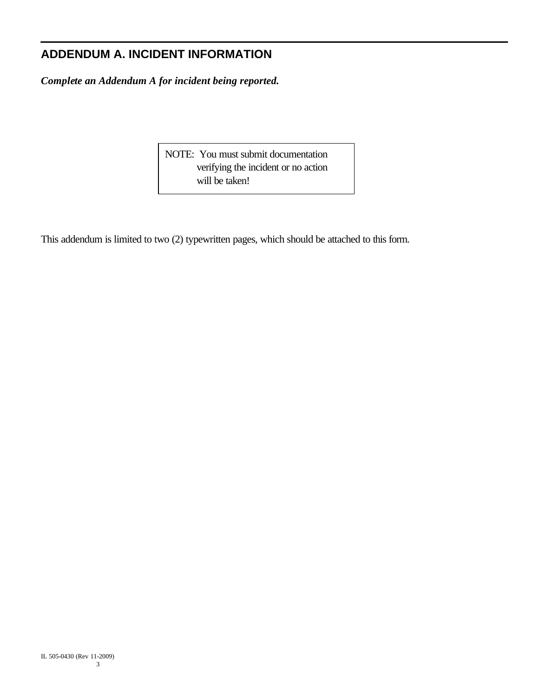### **ADDENDUM A. INCIDENT INFORMATION**

*Complete an Addendum A for incident being reported.*

NOTE: You must submit documentation verifying the incident or no action will be taken!

This addendum is limited to two (2) typewritten pages, which should be attached to this form.